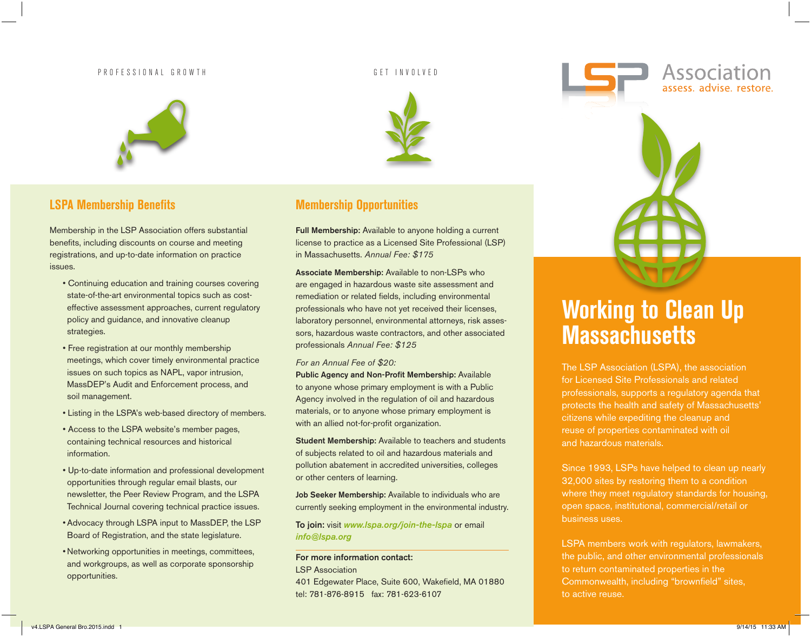### P R O F E S S I O N A L G R O W T H G E T L N V O L V E D G E T L N V O L V E D G E T L N V O L V E D



# **LSPA Membership Benefits**

Membership in the LSP Association offers substantial benefits, including discounts on course and meeting registrations, and up-to-date information on practice issues.

- Continuing education and training courses covering state-of-the-art environmental topics such as costeffective assessment approaches, current regulatory policy and guidance, and innovative cleanup strategies.
- Free registration at our monthly membership meetings, which cover timely environmental practice issues on such topics as NAPL, vapor intrusion, MassDEP's Audit and Enforcement process, and soil management.
- Listing in the LSPA's web-based directory of members.
- Access to the LSPA website's member pages, containing technical resources and historical information.
- Up-to-date information and professional development opportunities through regular email blasts, our newsletter, the Peer Review Program, and the LSPA Technical Journal covering technical practice issues.
- Advocacy through LSPA input to MassDEP, the LSP Board of Registration, and the state legislature.
- Networking opportunities in meetings, committees, and workgroups, as well as corporate sponsorship opportunities.



# **Membership Opportunities**

Full Membership: Available to anyone holding a current license to practice as a Licensed Site Professional (LSP) in Massachusetts. *Annual Fee: \$175*

Associate Membership: Available to non-LSPs who are engaged in hazardous waste site assessment and remediation or related fields, including environmental professionals who have not yet received their licenses, laboratory personnel, environmental attorneys, risk assessors, hazardous waste contractors, and other associated professionals *Annual Fee: \$125*

### *For an Annual Fee of \$20:*

Public Agency and Non-Profit Membership: Available to anyone whose primary employment is with a Public Agency involved in the regulation of oil and hazardous materials, or to anyone whose primary employment is with an allied not-for-profit organization.

Student Membership: Available to teachers and students of subjects related to oil and hazardous materials and pollution abatement in accredited universities, colleges or other centers of learning.

Job Seeker Membership: Available to individuals who are currently seeking employment in the environmental industry.

To join: visit *www.lspa.org/join-the-lspa* or email *info@lspa.org*

#### For more information contact:

LSP Association

401 Edgewater Place, Suite 600, Wakefield, MA 01880 tel: 781-876-8915 fax: 781-623-6107

# **Working to Clean Up Massachusetts**

Association

The LSP Association (LSPA), the association for Licensed Site Professionals and related professionals, supports a regulatory agenda that protects the health and safety of Massachusetts' citizens while expediting the cleanup and reuse of properties contaminated with oil and hazardous materials.

Since 1993, LSPs have helped to clean up nearly 32,000 sites by restoring them to a condition where they meet regulatory standards for housing, open space, institutional, commercial/retail or business uses.

LSPA members work with regulators, lawmakers, the public, and other environmental professionals to return contaminated properties in the Commonwealth, including "brownfield" sites, to active reuse.